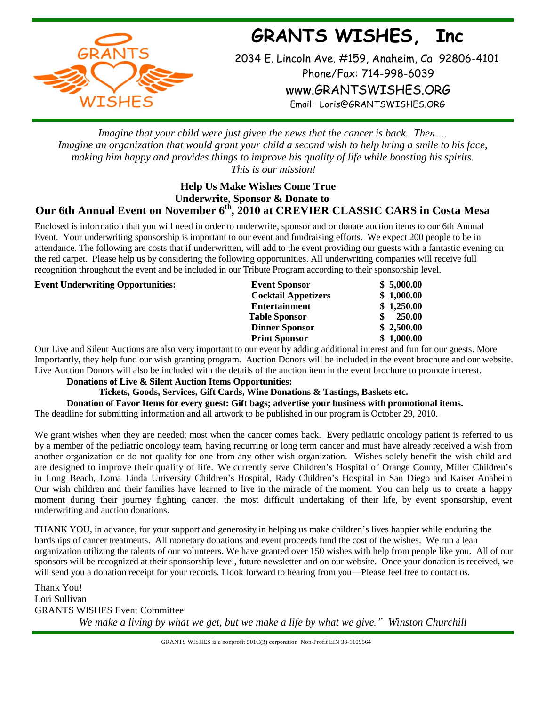**GRANTS WISHES, Inc**



2034 E. Lincoln Ave. #159, Anaheim, Ca 92806-4101 Phone/Fax: 714-998-6039 [www.GRANTSWISHES.ORG](http://www.grantswishes.org/) Email: [Loris@GRANTSWISHES.ORG](mailto:Loris@GRANTSWISHES.ORG)

*Imagine that your child were just given the news that the cancer is back. Then…. Imagine an organization that would grant your child a second wish to help bring a smile to his face, making him happy and provides things to improve his quality of life while boosting his spirits. This is our mission!*

## **Help Us Make Wishes Come True Underwrite, Sponsor & Donate to Our 6th Annual Event on November 6th, 2010 at CREVIER CLASSIC CARS in Costa Mesa**

Enclosed is information that you will need in order to underwrite, sponsor and or donate auction items to our 6th Annual Event. Your underwriting sponsorship is important to our event and fundraising efforts. We expect 200 people to be in attendance. The following are costs that if underwritten, will add to the event providing our guests with a fantastic evening on the red carpet. Please help us by considering the following opportunities. All underwriting companies will receive full recognition throughout the event and be included in our Tribute Program according to their sponsorship level.

**Event Underwriting Opportunities: Event Sponsor \$ 5,000.00 Cocktail Appetizers \$ 1,000.00 Entertainment \$ 1,250.00 Table Sponsor \$ 250.00 Dinner Sponsor \$ 2,500.00 Print Sponsor \$ 1,000.00**

Our Live and Silent Auctions are also very important to our event by adding additional interest and fun for our guests. More Importantly, they help fund our wish granting program. Auction Donors will be included in the event brochure and our website. Live Auction Donors will also be included with the details of the auction item in the event brochure to promote interest.

## **Donations of Live & Silent Auction Items Opportunities:**

**Tickets, Goods, Services, Gift Cards, Wine Donations & Tastings, Baskets etc.**

**Donation of Favor Items for every guest: Gift bags; advertise your business with promotional items.**

The deadline for submitting information and all artwork to be published in our program is October 29, 2010.

We grant wishes when they are needed; most when the cancer comes back. Every pediatric oncology patient is referred to us by a member of the pediatric oncology team, having recurring or long term cancer and must have already received a wish from another organization or do not qualify for one from any other wish organization. Wishes solely benefit the wish child and are designed to improve their quality of life. We currently serve Children's Hospital of Orange County, Miller Children's in Long Beach, Loma Linda University Children's Hospital, Rady Children's Hospital in San Diego and Kaiser Anaheim Our wish children and their families have learned to live in the miracle of the moment. You can help us to create a happy moment during their journey fighting cancer, the most difficult undertaking of their life, by event sponsorship, event underwriting and auction donations.

THANK YOU, in advance, for your support and generosity in helping us make children's lives happier while enduring the hardships of cancer treatments. All monetary donations and event proceeds fund the cost of the wishes. We run a lean organization utilizing the talents of our volunteers. We have granted over 150 wishes with help from people like you. All of our sponsors will be recognized at their sponsorship level, future newsletter and on our website. Once your donation is received, we will send you a donation receipt for your records. I look forward to hearing from you—Please feel free to contact us.

Thank You! Lori Sullivan GRANTS WISHES Event Committee *We make a living by what we get, but we make a life by what we give." Winston Churchill*